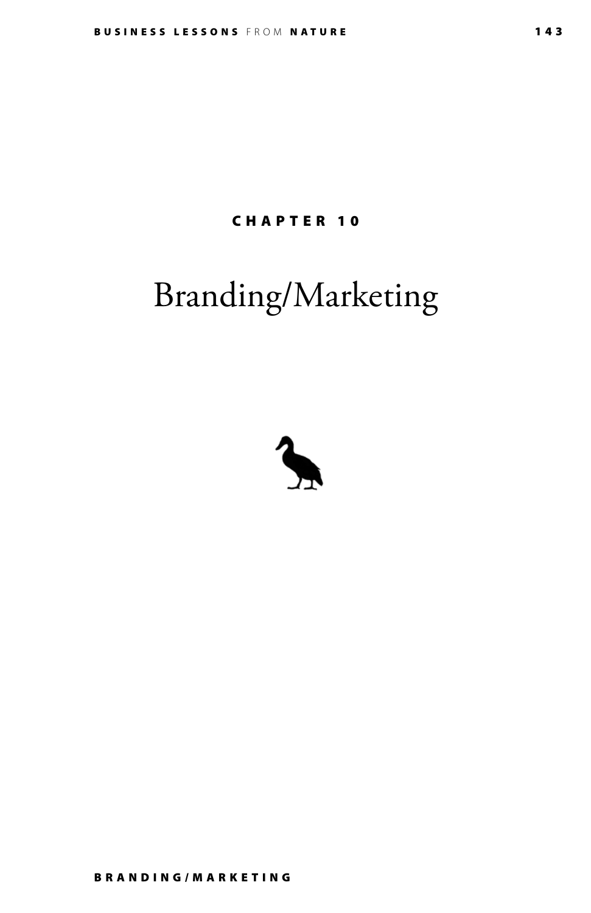## C H A P T E R 1 0

## Branding/Marketing

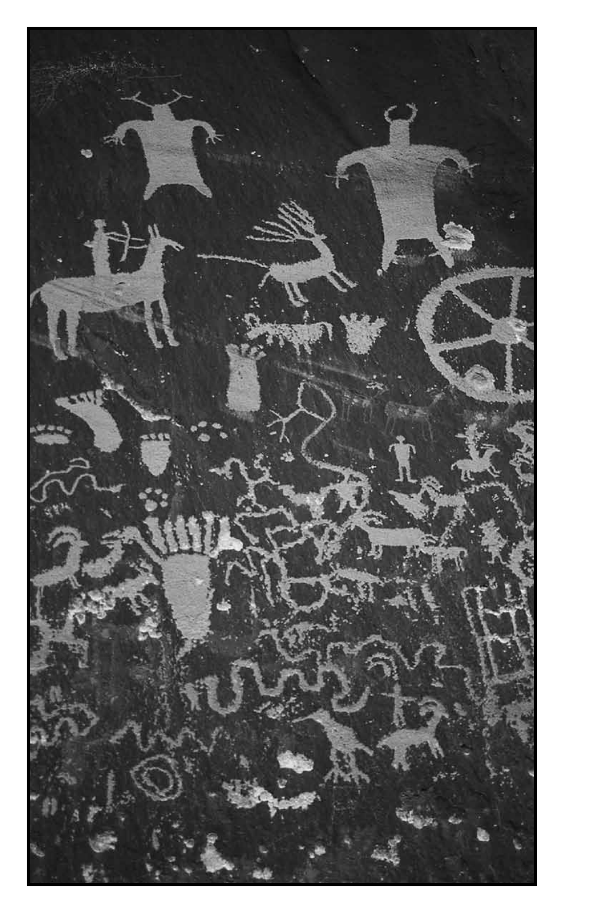